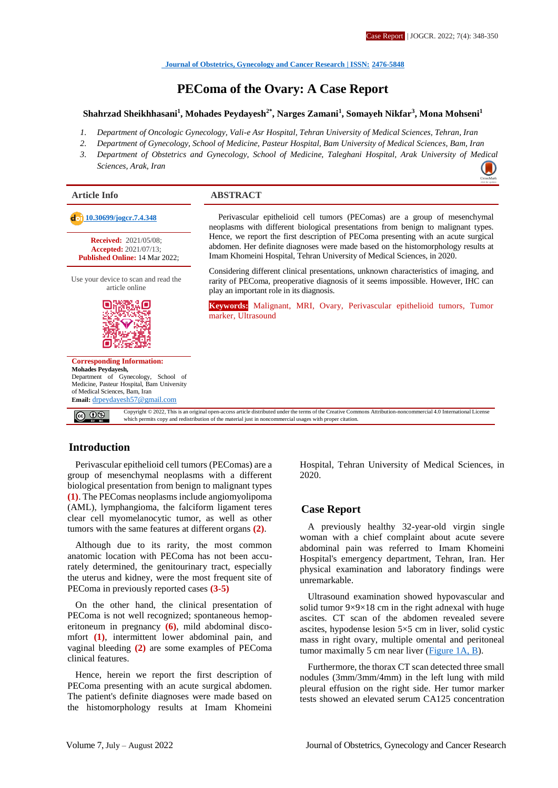**[Journal of Obstetrics, Gynecology and Cancer Research](http://jogcr.com/) | ISSN: 2476-5848**

## **PEComa of the Ovary: A Case Report**

#### **Shahrzad Sheikhhasani<sup>1</sup> , Mohades Peydayesh2\*, Narges Zamani<sup>1</sup> , Somayeh Nikfar<sup>3</sup> , Mona Mohseni<sup>1</sup>**

- *1. Department of Oncologic Gynecology, Vali-e Asr Hospital, Tehran University of Medical Sciences, Tehran, Iran*
- *2. Department of Gynecology, School of Medicine, Pasteur Hospital, Bam University of Medical Sciences, Bam, Iran*
- *3. Department of Obstetrics and Gynecology, School of Medicine, Taleghani Hospital, Arak University of M[edical](https://crossmark.crossref.org/dialog/?doi=10.30699/jogcr.7.4.348) Sciences, Arak, Iran*



## **Introduction**

Perivascular epithelioid cell tumors (PEComas) are a group of mesenchymal neoplasms with a different biological presentation from benign to malignant types **(1)**. The PEComas neoplasms include angiomyolipoma (AML), lymphangioma, the falciform ligament teres clear cell myomelanocytic tumor, as well as other tumors with the same features at different organs **(2)**.

Although due to its rarity, the most common anatomic location with PEComa has not been accurately determined, the genitourinary tract, especially the uterus and kidney, were the most frequent site of PEComa in previously reported cases **(3-5)**

On the other hand, the clinical presentation of PEComa is not well recognized; spontaneous hemoperitoneum in pregnancy **(6)**, mild abdominal discomfort **(1)**, intermittent lower abdominal pain, and vaginal bleeding **(2)** are some examples of PEComa clinical features.

Hence, herein we report the first description of PEComa presenting with an acute surgical abdomen. The patient's definite diagnoses were made based on the histomorphology results at Imam Khomeini

Hospital, Tehran University of Medical Sciences, in 2020.

#### **Case Report**

A previously healthy 32-year-old virgin single woman with a chief complaint about acute severe abdominal pain was referred to Imam Khomeini Hospital's emergency department, Tehran, Iran. Her physical examination and laboratory findings were unremarkable.

Ultrasound examination showed hypovascular and solid tumor 9×9×18 cm in the right adnexal with huge ascites. CT scan of the abdomen revealed severe ascites, hypodense lesion 5×5 cm in liver, solid cystic mass in right ovary, multiple omental and peritoneal tumor maximally 5 cm near liver [\(Figure 1A, B\)](#page-1-0).

Furthermore, the thorax CT scan detected three small nodules (3mm/3mm/4mm) in the left lung with mild pleural effusion on the right side. Her tumor marker tests showed an elevated serum CA125 concentration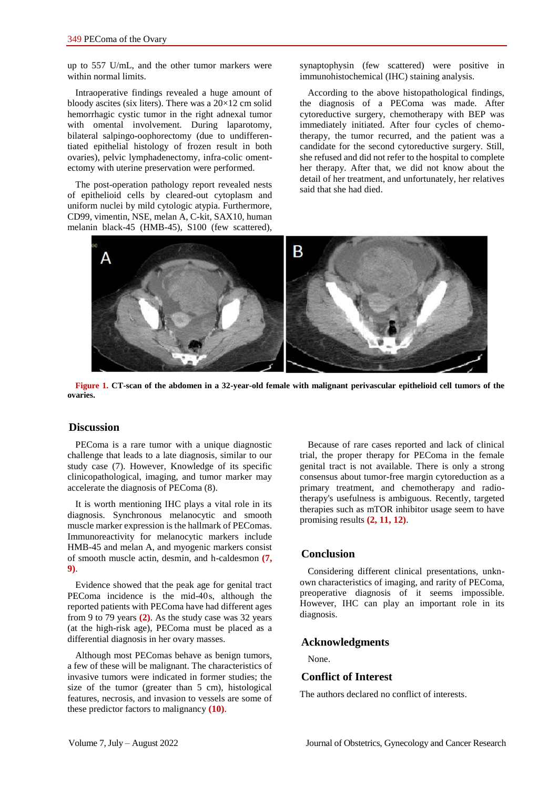up to 557 U/mL, and the other tumor markers were within normal limits.

Intraoperative findings revealed a huge amount of bloody ascites (six liters). There was a 20×12 cm solid hemorrhagic cystic tumor in the right adnexal tumor with omental involvement. During laparotomy, bilateral salpingo-oophorectomy (due to undifferentiated epithelial histology of frozen result in both ovaries), pelvic lymphadenectomy, infra-colic omentectomy with uterine preservation were performed.

The post-operation pathology report revealed nests of epithelioid cells by cleared-out cytoplasm and uniform nuclei by mild cytologic atypia. Furthermore, CD99, vimentin, NSE, melan A, C-kit, SAX10, human melanin black-45 (HMB-45), S100 (few scattered),

synaptophysin (few scattered) were positive in immunohistochemical (IHC) staining analysis.

According to the above histopathological findings, the diagnosis of a PEComa was made. After cytoreductive surgery, chemotherapy with BEP was immediately initiated. After four cycles of chemotherapy, the tumor recurred, and the patient was a candidate for the second cytoreductive surgery. Still, she refused and did not refer to the hospital to complete her therapy. After that, we did not know about the detail of her treatment, and unfortunately, her relatives said that she had died.



**Figure 1. CT-scan of the abdomen in a 32-year-old female with malignant perivascular epithelioid cell tumors of the ovaries.** 

## <span id="page-1-0"></span>**Discussion**

PEComa is a rare tumor with a unique diagnostic challenge that leads to a late diagnosis, similar to our study case (7). However, Knowledge of its specific clinicopathological, imaging, and tumor marker may accelerate the diagnosis of PEComa (8).

It is worth mentioning IHC plays a vital role in its diagnosis. Synchronous melanocytic and smooth muscle marker expression is the hallmark of PEComas. Immunoreactivity for melanocytic markers include HMB-45 and melan A, and myogenic markers consist of smooth muscle actin, desmin, and h-caldesmon **(7, 9)**.

Evidence showed that the peak age for genital tract PEComa incidence is the mid-40s, although the reported patients with PEComa have had different ages from 9 to 79 years **(2)**. As the study case was 32 years (at the high-risk age), PEComa must be placed as a differential diagnosis in her ovary masses.

Although most PEComas behave as benign tumors, a few of these will be malignant. The characteristics of invasive tumors were indicated in former studies; the size of the tumor (greater than 5 cm), histological features, necrosis, and invasion to vessels are some of these predictor factors to malignancy **(10)**.

Because of rare cases reported and lack of clinical trial, the proper therapy for PEComa in the female genital tract is not available. There is only a strong consensus about tumor-free margin cytoreduction as a primary treatment, and chemotherapy and radiotherapy's usefulness is ambiguous. Recently, targeted therapies such as mTOR inhibitor usage seem to have promising results **(2, 11, 12)**.

#### **Conclusion**

Considering different clinical presentations, unknown characteristics of imaging, and rarity of PEComa, preoperative diagnosis of it seems impossible. However, IHC can play an important role in its diagnosis.

#### **Acknowledgments**

None.

## **Conflict of Interest**

The authors declared no conflict of interests.